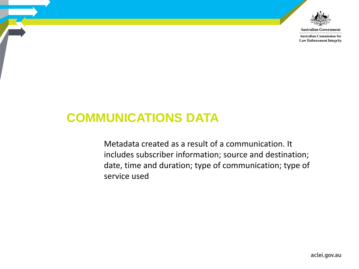

**Australian Government** 

**Australian Commission for Law Enforcement Integrity** 

# **COMMUNICATIONS DATA**

Metadata created as a result of a communication. It includes subscriber information; source and destination; date, time and duration; type of communication; type of service used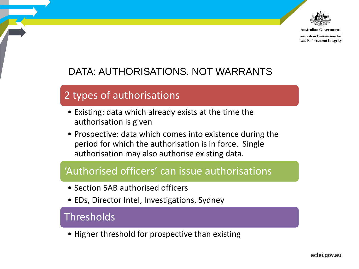

Australian Governmen **Australian Commission for** 

**Law Enforcement Integrity** 

# DATA: AUTHORISATIONS, NOT WARRANTS

# 2 types of authorisations

- Existing: data which already exists at the time the authorisation is given
- Prospective: data which comes into existence during the period for which the authorisation is in force. Single authorisation may also authorise existing data.

# 'Authorised officers' can issue authorisations

- Section 5AB authorised officers
- EDs, Director Intel, Investigations, Sydney

#### Thresholds

• Higher threshold for prospective than existing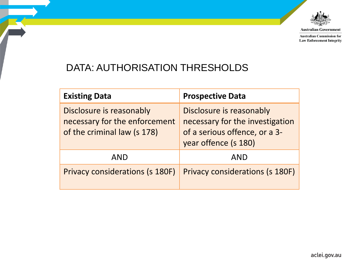

**Australian Government** 

**Australian Commission for Law Enforcement Integrity** 

# DATA: AUTHORISATION THRESHOLDS

| <b>Existing Data</b>                                                                     | <b>Prospective Data</b>                                                                                              |
|------------------------------------------------------------------------------------------|----------------------------------------------------------------------------------------------------------------------|
| Disclosure is reasonably<br>necessary for the enforcement<br>of the criminal law (s 178) | Disclosure is reasonably<br>necessary for the investigation<br>of a serious offence, or a 3-<br>year offence (s 180) |
| AND                                                                                      | <b>AND</b>                                                                                                           |
| <b>Privacy considerations (s 180F)</b>                                                   | Privacy considerations (s 180F)                                                                                      |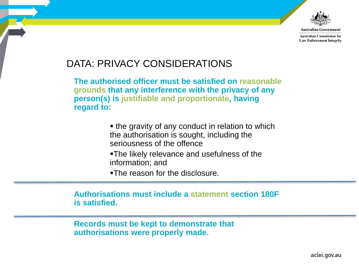

**Australian Government Australian Commission for** 

**Law Enforcement Integrity** 

### DATA: PRIVACY CONSIDERATIONS

**The authorised officer must be satisfied on reasonable grounds that any interference with the privacy of any person(s) is justifiable and proportionate, having regard to:** 

> • the gravity of any conduct in relation to which the authorisation is sought, including the seriousness of the offence

The likely relevance and usefulness of the information; and

•The reason for the disclosure.

**Authorisations must include a statement section 180F is satisfied.** 

**Records must be kept to demonstrate that authorisations were properly made.**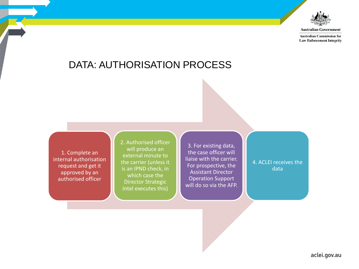

**Australian Government** 

**Australian Commission for Law Enforcement Integrity** 

#### DATA: AUTHORISATION PROCESS

1. Complete an internal authorisation request and get it approved by an authorised officer

2. Authorised officer will produce an external minute to the carrier (unless it is an IPND check, in which case the Director Strategic Intel executes this)

3. For existing data, the case officer will liaise with the carrier. For prospective, the Assistant Director Operation Support will do so via the AFP.

4. ACLEI receives the data

aclei.gov.au